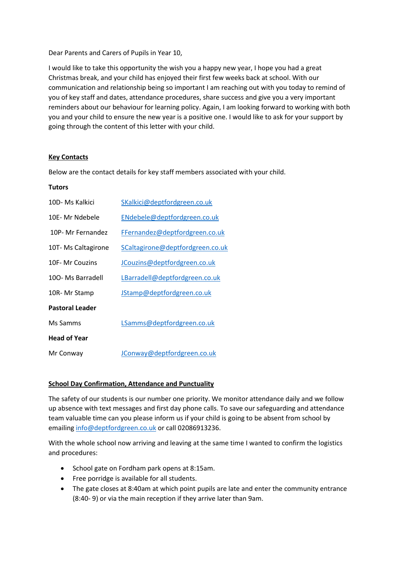Dear Parents and Carers of Pupils in Year 10,

I would like to take this opportunity the wish you a happy new year, I hope you had a great Christmas break, and your child has enjoyed their first few weeks back at school. With our communication and relationship being so important I am reaching out with you today to remind of you of key staff and dates, attendance procedures, share success and give you a very important reminders about our behaviour for learning policy. Again, I am looking forward to working with both you and your child to ensure the new year is a positive one. I would like to ask for your support by going through the content of this letter with your child.

### **Key Contacts**

Below are the contact details for key staff members associated with your child.

#### **Tutors**

| 10D- Ms Kalkici        | SKalkici@deptfordgreen.co.uk     |
|------------------------|----------------------------------|
| 10E- Mr Ndebele        | ENdebele@deptfordgreen.co.uk     |
| 10P- Mr Fernandez      | FFernandez@deptfordgreen.co.uk   |
| 10T-Ms Caltagirone     | SCaltagirone@deptfordgreen.co.uk |
| 10F- Mr Couzins        | JCouzins@deptfordgreen.co.uk     |
| 100- Ms Barradell      | LBarradell@deptfordgreen.co.uk   |
| 10R-Mr Stamp           | JStamp@deptfordgreen.co.uk       |
| <b>Pastoral Leader</b> |                                  |
| Ms Samms               | LSamms@deptfordgreen.co.uk       |
| <b>Head of Year</b>    |                                  |
| Mr Conway              | JConway@deptfordgreen.co.uk      |

#### **School Day Confirmation, Attendance and Punctuality**

The safety of our students is our number one priority. We monitor attendance daily and we follow up absence with text messages and first day phone calls. To save our safeguarding and attendance team valuable time can you please inform us if your child is going to be absent from school by emailin[g info@deptfordgreen.co.uk](mailto:info@deptfordgreen.co.uk) or call 02086913236.

With the whole school now arriving and leaving at the same time I wanted to confirm the logistics and procedures:

- School gate on Fordham park opens at 8:15am.
- Free porridge is available for all students.
- The gate closes at 8:40am at which point pupils are late and enter the community entrance (8:40- 9) or via the main reception if they arrive later than 9am.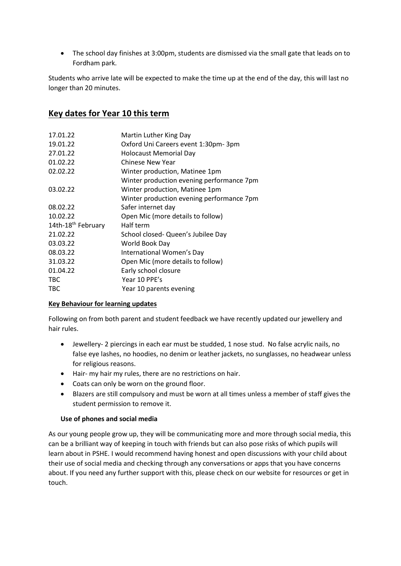• The school day finishes at 3:00pm, students are dismissed via the small gate that leads on to Fordham park.

Students who arrive late will be expected to make the time up at the end of the day, this will last no longer than 20 minutes.

# **Key dates for Year 10 this term**

| 17.01.22                       | Martin Luther King Day                    |
|--------------------------------|-------------------------------------------|
| 19.01.22                       | Oxford Uni Careers event 1:30pm-3pm       |
| 27.01.22                       | <b>Holocaust Memorial Day</b>             |
| 01.02.22                       | Chinese New Year                          |
| 02.02.22                       | Winter production, Matinee 1pm            |
|                                | Winter production evening performance 7pm |
| 03.02.22                       | Winter production, Matinee 1pm            |
|                                | Winter production evening performance 7pm |
| 08.02.22                       | Safer internet day                        |
| 10.02.22                       | Open Mic (more details to follow)         |
| 14th-18 <sup>th</sup> February | Half term                                 |
| 21.02.22                       | School closed- Queen's Jubilee Day        |
| 03.03.22                       | World Book Day                            |
| 08.03.22                       | International Women's Day                 |
| 31.03.22                       | Open Mic (more details to follow)         |
| 01.04.22                       | Early school closure                      |
| <b>TBC</b>                     | Year 10 PPE's                             |
| <b>TBC</b>                     | Year 10 parents evening                   |

# **Key Behaviour for learning updates**

Following on from both parent and student feedback we have recently updated our jewellery and hair rules.

- Jewellery- 2 piercings in each ear must be studded, 1 nose stud. No false acrylic nails, no false eye lashes, no hoodies, no denim or leather jackets, no sunglasses, no headwear unless for religious reasons.
- Hair- my hair my rules, there are no restrictions on hair.
- Coats can only be worn on the ground floor.
- Blazers are still compulsory and must be worn at all times unless a member of staff gives the student permission to remove it.

# **Use of phones and social media**

As our young people grow up, they will be communicating more and more through social media, this can be a brilliant way of keeping in touch with friends but can also pose risks of which pupils will learn about in PSHE. I would recommend having honest and open discussions with your child about their use of social media and checking through any conversations or apps that you have concerns about. If you need any further support with this, please check on our website for resources or get in touch.